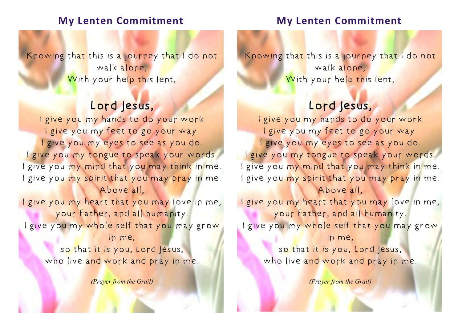## **My Lenten Commitment**

Knowing that this is a journey that I do not walk alone, With your help this lent,

# Lord Jesus,

I give you my hands to do your work I give you my feet to go your way. I give you my eyes to see as you do. I give you my tongue to speak your words. I give you my mind that you may think in me. I give you my spirit that you may pray in me. Above all,

I give you my heart that you may love in me, your Father, and all humanity. I give you my whole self that you may grow in me,

so that it is you, Lord Jesus, who live and work and pray in me.

*(Prayer from the Grail)*

### **My Lenten Commitment**

Knowing that this is a journey that I do not walk alone, With your help this lent,

## Lord Jesus,

I give you my hands to do your work I give you my feet to go your way. I give you my eyes to see as you do. I give you my tongue to speak your words. I give you my mind that you may think in me. I give you my spirit that you may pray in me. Above all,

I give you my heart that you may love in me, your Father, and all humanity. I give you my whole self that you may grow in me,

so that it is you, Lord Jesus, who live and work and pray in me.

*(Prayer from the Grail)*